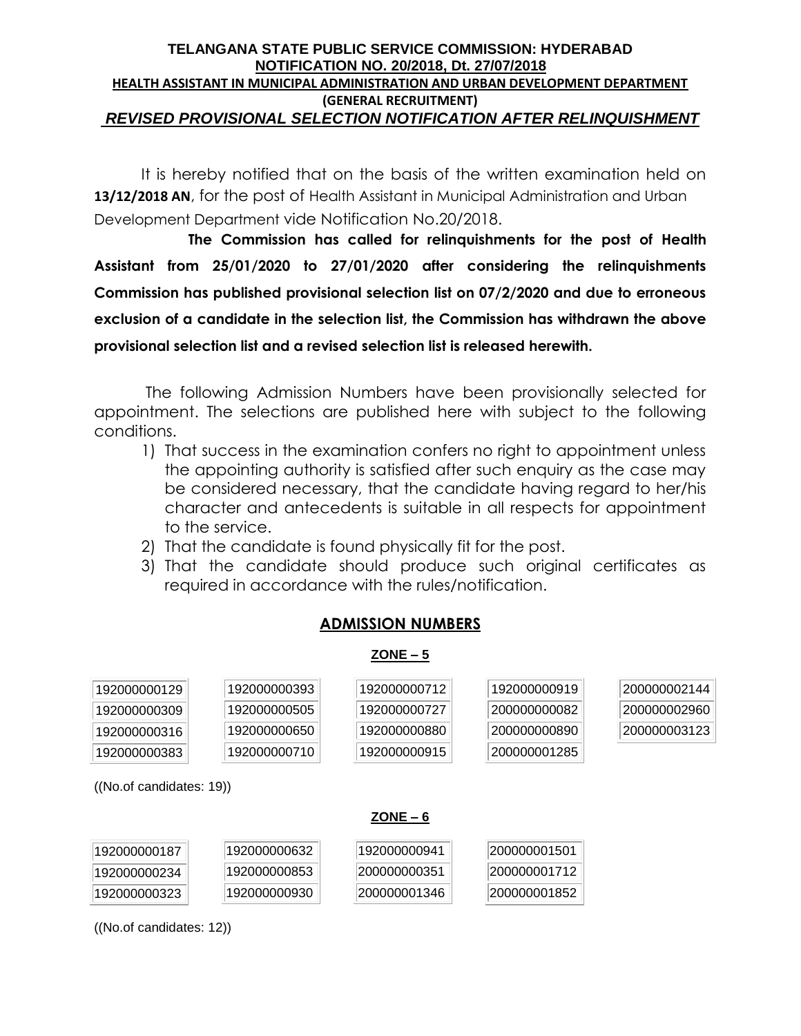#### **TELANGANA STATE PUBLIC SERVICE COMMISSION: HYDERABAD NOTIFICATION NO. 20/2018, Dt. 27/07/2018 HEALTH ASSISTANT IN MUNICIPAL ADMINISTRATION AND URBAN DEVELOPMENT DEPARTMENT (GENERAL RECRUITMENT)** *REVISED PROVISIONAL SELECTION NOTIFICATION AFTER RELINQUISHMENT*

It is hereby notified that on the basis of the written examination held on **13/12/2018 AN**, for the post of Health Assistant in Municipal Administration and Urban Development Department vide Notification No.20/2018.

**The Commission has called for relinquishments for the post of Health Assistant from 25/01/2020 to 27/01/2020 after considering the relinquishments Commission has published provisional selection list on 07/2/2020 and due to erroneous exclusion of a candidate in the selection list, the Commission has withdrawn the above provisional selection list and a revised selection list is released herewith.** 

The following Admission Numbers have been provisionally selected for appointment. The selections are published here with subject to the following conditions.

- 1) That success in the examination confers no right to appointment unless the appointing authority is satisfied after such enquiry as the case may be considered necessary, that the candidate having regard to her/his character and antecedents is suitable in all respects for appointment to the service.
- 2) That the candidate is found physically fit for the post.
- 3) That the candidate should produce such original certificates as required in accordance with the rules/notification.

# **ADMISSION NUMBERS**

### **ZONE – 5**

| 192000000129 | 192000000393 | 192000000712 | 192000000919 | 200000002144 |
|--------------|--------------|--------------|--------------|--------------|
| 192000000309 | 192000000505 | 192000000727 | 200000000082 | 200000002960 |
| 192000000316 | 192000000650 | 192000000880 | 200000000890 | 200000003123 |
| 192000000383 | 192000000710 | 192000000915 | 200000001285 |              |

((No.of candidates: 19))

## **ZONE – 6**

| 192000000187 | 192000000632 | 192000000941 | 200000001501 |
|--------------|--------------|--------------|--------------|
| 192000000234 | 192000000853 | 200000000351 | 200000001712 |
| 192000000323 | 192000000930 | 200000001346 | 200000001852 |

((No.of candidates: 12))